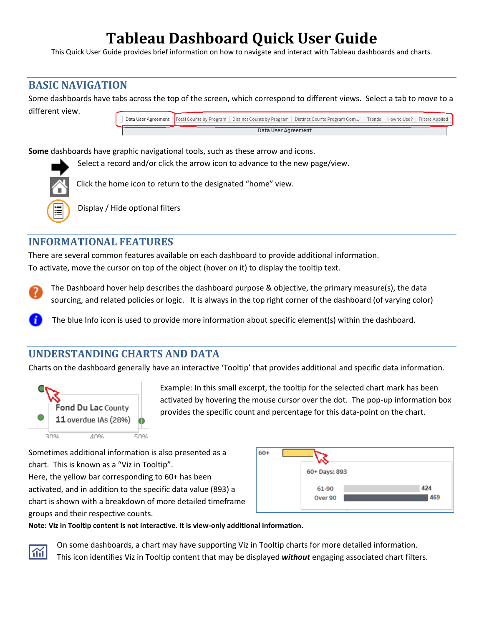# **Tableau Dashboard Quick User Guide**

This Quick User Guide provides brief information on how to navigate and interact with Tableau dashboards and charts.

### **BASIC NAVIGATION**

Some dashboards have tabs across the top of the screen, which correspond to different views. Select a tab to move to a different view.



**Some** dashboards have graphic navigational tools, such as these arrow and icons.

Select a record and/or click the arrow icon to advance to the new page/view.



Click the home icon to return to the designated "home" view.

Display / Hide optional filters

### **INFORMATIONAL FEATURES**

There are several common features available on each dashboard to provide additional information. To activate, move the cursor on top of the object (hover on it) to display the tooltip text.

The Dashboard hover help describes the dashboard purpose & objective, the primary measure(s), the data sourcing, and related policies or logic. It is always in the top right corner of the dashboard (of varying color)

The blue Info icon is used to provide more information about specific element(s) within the dashboard.

# **UNDERSTANDING CHARTS AND DATA**

Charts on the dashboard generally have an interactive 'Tooltip' that provides additional and specific data information.



Example: In this small excerpt, the tooltip for the selected chart mark has been activated by hovering the mouse cursor over the dot. The pop-up information box provides the specific count and percentage for this data-point on the chart.

Sometimes additional information is also presented as a chart. This is known as a "Viz in Tooltip".

Here, the yellow bar corresponding to 60+ has been activated, and in addition to the specific data value (893) a chart is shown with a breakdown of more detailed timeframe groups and their respective counts.



**Note: Viz in Tooltip content is not interactive. It is view-only additional information.**



On some dashboards, a chart may have supporting Viz in Tooltip charts for more detailed information. This icon identifies Viz in Tooltip content that may be displayed *without* engaging associated chart filters.